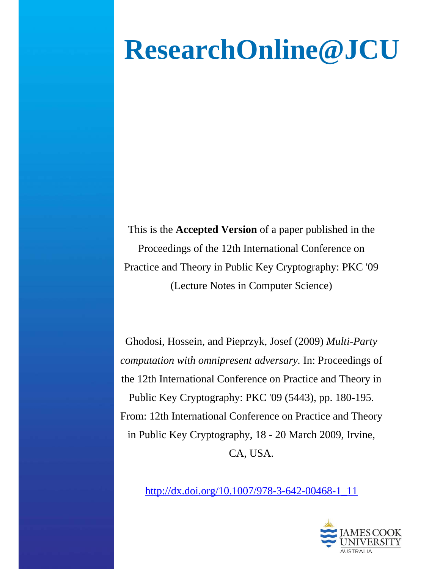# **ResearchOnline@JCU**

This is the **Accepted Version** of a paper published in the Proceedings of the 12th International Conference on Practice and Theory in Public Key Cryptography: PKC '09 (Lecture Notes in Computer Science)

Ghodosi, Hossein, and Pieprzyk, Josef (2009) *Multi-Party computation with omnipresent adversary.* In: Proceedings of the 12th International Conference on Practice and Theory in Public Key Cryptography: PKC '09 (5443), pp. 180-195. From: 12th International Conference on Practice and Theory in Public Key Cryptography, 18 - 20 March 2009, Irvine, CA, USA.

http://dx.doi.org/10.1007/978-3-642-00468-1\_11

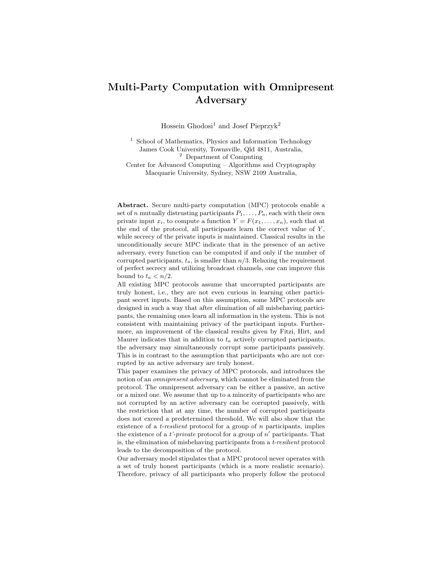# Multi-Party Computation with Omnipresent Adversary

Hossein Ghodosi<sup>1</sup> and Josef Pieprzyk<sup>2</sup>

<sup>1</sup> School of Mathematics, Physics and Information Technology James Cook University, Townsville, Qld 4811, Australia, <sup>2</sup> Department of Computing

Center for Advanced Computing – Algorithms and Cryptography Macquarie University, Sydney, NSW 2109 Australia,

Abstract. Secure multi-party computation (MPC) protocols enable a set of n mutually distrusting participants  $P_1, \ldots, P_n$ , each with their own private input  $x_i$ , to compute a function  $Y = F(x_1, \ldots, x_n)$ , such that at the end of the protocol, all participants learn the correct value of  $Y$ , while secrecy of the private inputs is maintained. Classical results in the unconditionally secure MPC indicate that in the presence of an active adversary, every function can be computed if and only if the number of corrupted participants,  $t_a$ , is smaller than  $n/3$ . Relaxing the requirement of perfect secrecy and utilizing broadcast channels, one can improve this bound to  $t_a < n/2$ .

All existing MPC protocols assume that uncorrupted participants are truly honest, i.e., they are not even curious in learning other participant secret inputs. Based on this assumption, some MPC protocols are designed in such a way that after elimination of all misbehaving participants, the remaining ones learn all information in the system. This is not consistent with maintaining privacy of the participant inputs. Furthermore, an improvement of the classical results given by Fitzi, Hirt, and Maurer indicates that in addition to  $t_a$  actively corrupted participants, the adversary may simultaneously corrupt some participants passively. This is in contrast to the assumption that participants who are not corrupted by an active adversary are truly honest.

This paper examines the privacy of MPC protocols, and introduces the notion of an omnipresent adversary, which cannot be eliminated from the protocol. The omnipresent adversary can be either a passive, an active or a mixed one. We assume that up to a minority of participants who are not corrupted by an active adversary can be corrupted passively, with the restriction that at any time, the number of corrupted participants does not exceed a predetermined threshold. We will also show that the existence of a *t-resilient* protocol for a group of  $n$  participants, implies the existence of a  $t'$ -private protocol for a group of  $n'$  participants. That is, the elimination of misbehaving participants from a t-resilient protocol leads to the decomposition of the protocol.

Our adversary model stipulates that a MPC protocol never operates with a set of truly honest participants (which is a more realistic scenario). Therefore, privacy of all participants who properly follow the protocol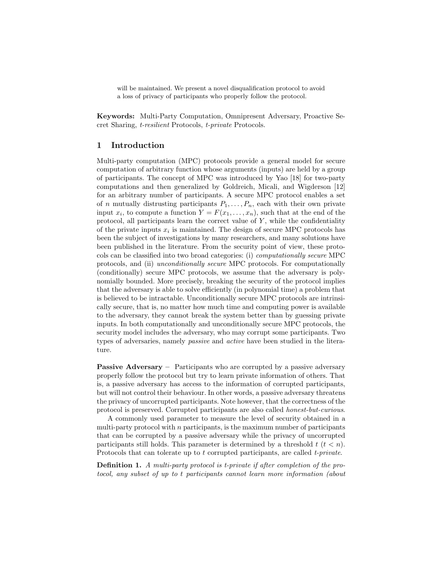will be maintained. We present a novel disqualification protocol to avoid a loss of privacy of participants who properly follow the protocol.

Keywords: Multi-Party Computation, Omnipresent Adversary, Proactive Secret Sharing, t-resilient Protocols, t-private Protocols.

# 1 Introduction

Multi-party computation (MPC) protocols provide a general model for secure computation of arbitrary function whose arguments (inputs) are held by a group of participants. The concept of MPC was introduced by Yao [18] for two-party computations and then generalized by Goldreich, Micali, and Wigderson [12] for an arbitrary number of participants. A secure MPC protocol enables a set of n mutually distrusting participants  $P_1, \ldots, P_n$ , each with their own private input  $x_i$ , to compute a function  $Y = F(x_1, \ldots, x_n)$ , such that at the end of the protocol, all participants learn the correct value of  $Y$ , while the confidentiality of the private inputs  $x_i$  is maintained. The design of secure MPC protocols has been the subject of investigations by many researchers, and many solutions have been published in the literature. From the security point of view, these protocols can be classified into two broad categories: (i) computationally secure MPC protocols, and (ii) unconditionally secure MPC protocols. For computationally (conditionally) secure MPC protocols, we assume that the adversary is polynomially bounded. More precisely, breaking the security of the protocol implies that the adversary is able to solve efficiently (in polynomial time) a problem that is believed to be intractable. Unconditionally secure MPC protocols are intrinsically secure, that is, no matter how much time and computing power is available to the adversary, they cannot break the system better than by guessing private inputs. In both computationally and unconditionally secure MPC protocols, the security model includes the adversary, who may corrupt some participants. Two types of adversaries, namely passive and active have been studied in the literature.

Passive Adversary – Participants who are corrupted by a passive adversary properly follow the protocol but try to learn private information of others. That is, a passive adversary has access to the information of corrupted participants, but will not control their behaviour. In other words, a passive adversary threatens the privacy of uncorrupted participants. Note however, that the correctness of the protocol is preserved. Corrupted participants are also called honest-but-curious.

A commonly used parameter to measure the level of security obtained in a multi-party protocol with  $n$  participants, is the maximum number of participants that can be corrupted by a passive adversary while the privacy of uncorrupted participants still holds. This parameter is determined by a threshold  $t (t < n)$ . Protocols that can tolerate up to t corrupted participants, are called t-private.

Definition 1. A multi-party protocol is t-private if after completion of the protocol, any subset of up to t participants cannot learn more information (about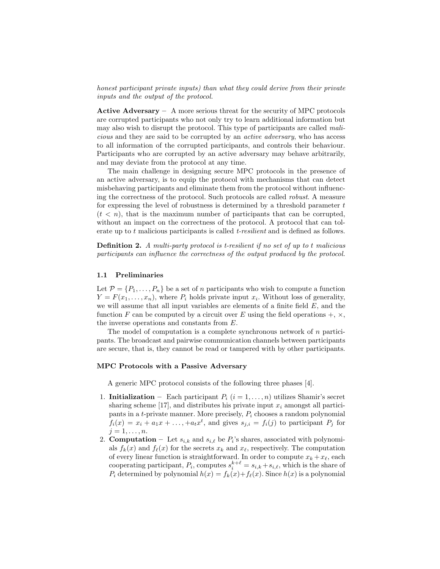honest participant private inputs) than what they could derive from their private inputs and the output of the protocol.

Active Adversary  $-$  A more serious threat for the security of MPC protocols are corrupted participants who not only try to learn additional information but may also wish to disrupt the protocol. This type of participants are called malicious and they are said to be corrupted by an active adversary, who has access to all information of the corrupted participants, and controls their behaviour. Participants who are corrupted by an active adversary may behave arbitrarily, and may deviate from the protocol at any time.

The main challenge in designing secure MPC protocols in the presence of an active adversary, is to equip the protocol with mechanisms that can detect misbehaving participants and eliminate them from the protocol without influencing the correctness of the protocol. Such protocols are called robust. A measure for expressing the level of robustness is determined by a threshold parameter  $t$  $(t < n)$ , that is the maximum number of participants that can be corrupted, without an impact on the correctness of the protocol. A protocol that can tolerate up to t malicious participants is called t-resilient and is defined as follows.

Definition 2. A multi-party protocol is t-resilient if no set of up to t malicious participants can influence the correctness of the output produced by the protocol.

#### 1.1 Preliminaries

Let  $\mathcal{P} = \{P_1, \ldots, P_n\}$  be a set of *n* participants who wish to compute a function  $Y = F(x_1, \ldots, x_n)$ , where  $P_i$  holds private input  $x_i$ . Without loss of generality, we will assume that all input variables are elements of a finite field  $E$ , and the function F can be computed by a circuit over E using the field operations  $+$ ,  $\times$ , the inverse operations and constants from E.

The model of computation is a complete synchronous network of n participants. The broadcast and pairwise communication channels between participants are secure, that is, they cannot be read or tampered with by other participants.

#### MPC Protocols with a Passive Adversary

A generic MPC protocol consists of the following three phases [4].

- 1. Initialization Each participant  $P_i$   $(i = 1, ..., n)$  utilizes Shamir's secret sharing scheme [17], and distributes his private input  $x_i$  amongst all participants in a  $t$ -private manner. More precisely,  $P_i$  chooses a random polynomial  $f_i(x) = x_i + a_1x + \ldots + a_tx^t$ , and gives  $s_{j,i} = f_i(j)$  to participant  $P_j$  for  $j=1,\ldots,n$ .
- 2. **Computation** Let  $s_{i,k}$  and  $s_{i,\ell}$  be  $P_i$ 's shares, associated with polynomials  $f_k(x)$  and  $f_\ell(x)$  for the secrets  $x_k$  and  $x_\ell$ , respectively. The computation of every linear function is straightforward. In order to compute  $x_k + x_\ell$ , each cooperating participant,  $P_i$ , computes  $s_i^{k+\ell} = s_{i,k} + s_{i,\ell}$ , which is the share of  $P_i$  determined by polynomial  $h(x) = f_k(x) + f_\ell(x)$ . Since  $h(x)$  is a polynomial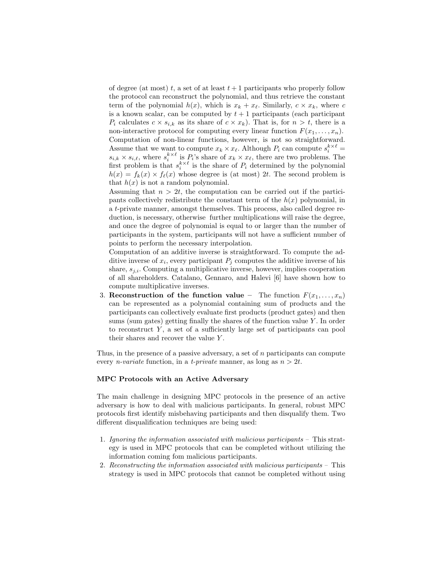of degree (at most) t, a set of at least  $t + 1$  participants who properly follow the protocol can reconstruct the polynomial, and thus retrieve the constant term of the polynomial  $h(x)$ , which is  $x_k + x_\ell$ . Similarly,  $c \times x_k$ , where c is a known scalar, can be computed by  $t + 1$  participants (each participant  $P_i$  calculates  $c \times s_{i,k}$  as its share of  $c \times x_k$ ). That is, for  $n > t$ , there is a non-interactive protocol for computing every linear function  $F(x_1, \ldots, x_n)$ . Computation of non-linear functions, however, is not so straightforward. Assume that we want to compute  $x_k \times x_{\ell}$ . Although  $P_i$  can compute  $s_i^{k \times \ell} =$  $s_{i,k} \times s_{i,\ell}$ , where  $s_i^{k \times \ell}$  is  $P_i$ 's share of  $x_k \times x_{\ell}$ , there are two problems. The first problem is that  $s_i^{k \times \ell}$  is the share of  $P_i$  determined by the polynomial  $h(x) = f_k(x) \times f_\ell(x)$  whose degree is (at most) 2t. The second problem is that  $h(x)$  is not a random polynomial.

Assuming that  $n > 2t$ , the computation can be carried out if the participants collectively redistribute the constant term of the  $h(x)$  polynomial, in a t-private manner, amongst themselves. This process, also called degree reduction, is necessary, otherwise further multiplications will raise the degree, and once the degree of polynomial is equal to or larger than the number of participants in the system, participants will not have a sufficient number of points to perform the necessary interpolation.

Computation of an additive inverse is straightforward. To compute the additive inverse of  $x_i$ , every participant  $P_j$  computes the additive inverse of his share,  $s_{i,i}$ . Computing a multiplicative inverse, however, implies cooperation of all shareholders. Catalano, Gennaro, and Halevi [6] have shown how to compute multiplicative inverses.

3. Reconstruction of the function value – The function  $F(x_1, \ldots, x_n)$ can be represented as a polynomial containing sum of products and the participants can collectively evaluate first products (product gates) and then sums (sum gates) getting finally the shares of the function value Y . In order to reconstruct Y , a set of a sufficiently large set of participants can pool their shares and recover the value Y .

Thus, in the presence of a passive adversary, a set of  $n$  participants can compute every *n*-variate function, in a *t*-private manner, as long as  $n > 2t$ .

#### MPC Protocols with an Active Adversary

The main challenge in designing MPC protocols in the presence of an active adversary is how to deal with malicious participants. In general, robust MPC protocols first identify misbehaving participants and then disqualify them. Two different disqualification techniques are being used:

- 1. Ignoring the information associated with malicious participants This strategy is used in MPC protocols that can be completed without utilizing the information coming fom malicious participants.
- 2. Reconstructing the information associated with malicious participants This strategy is used in MPC protocols that cannot be completed without using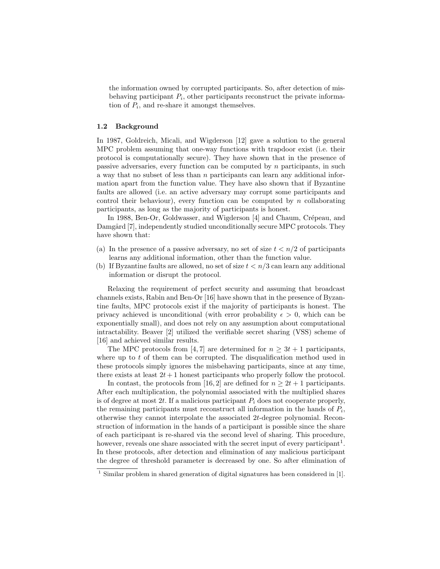the information owned by corrupted participants. So, after detection of misbehaving participant  $P_i$ , other participants reconstruct the private information of  $P_i$ , and re-share it amongst themselves.

#### 1.2 Background

In 1987, Goldreich, Micali, and Wigderson [12] gave a solution to the general MPC problem assuming that one-way functions with trapdoor exist (i.e. their protocol is computationally secure). They have shown that in the presence of passive adversaries, every function can be computed by  $n$  participants, in such a way that no subset of less than  $n$  participants can learn any additional information apart from the function value. They have also shown that if Byzantine faults are allowed (i.e. an active adversary may corrupt some participants and control their behaviour), every function can be computed by n collaborating participants, as long as the majority of participants is honest.

In 1988, Ben-Or, Goldwasser, and Wigderson [4] and Chaum, Crépeau, and Damgård [7], independently studied unconditionally secure MPC protocols. They have shown that:

- (a) In the presence of a passive adversary, no set of size  $t < n/2$  of participants learns any additional information, other than the function value.
- (b) If Byzantine faults are allowed, no set of size  $t < n/3$  can learn any additional information or disrupt the protocol.

Relaxing the requirement of perfect security and assuming that broadcast channels exists, Rabin and Ben-Or [16] have shown that in the presence of Byzantine faults, MPC protocols exist if the majority of participants is honest. The privacy achieved is unconditional (with error probability  $\epsilon > 0$ , which can be exponentially small), and does not rely on any assumption about computational intractability. Beaver [2] utilized the verifiable secret sharing (VSS) scheme of [16] and achieved similar results.

The MPC protocols from [4,7] are determined for  $n \geq 3t + 1$  participants, where up to  $t$  of them can be corrupted. The disqualification method used in these protocols simply ignores the misbehaving participants, since at any time, there exists at least  $2t + 1$  honest participants who properly follow the protocol.

In contast, the protocols from [16, 2] are defined for  $n \geq 2t + 1$  participants. After each multiplication, the polynomial associated with the multiplied shares is of degree at most 2t. If a malicious participant  $P_i$  does not cooperate properly, the remaining participants must reconstruct all information in the hands of  $P_i$ , otherwise they cannot interpolate the associated 2t-degree polynomial. Reconstruction of information in the hands of a participant is possible since the share of each participant is re-shared via the second level of sharing. This procedure, however, reveals one share associated with the secret input of every participant<sup>1</sup>. In these protocols, after detection and elimination of any malicious participant the degree of threshold parameter is decreased by one. So after elimination of

 $1$  Similar problem in shared generation of digital signatures has been considered in [1].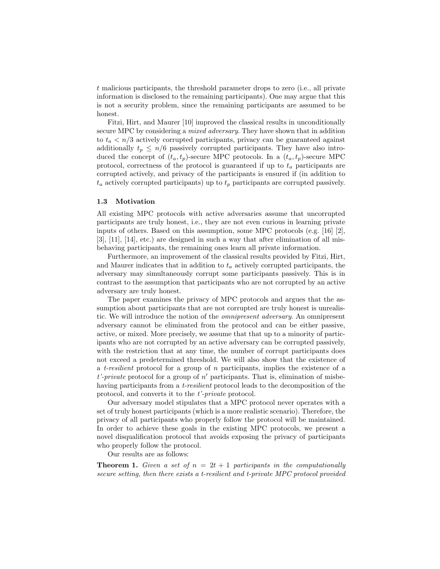t malicious participants, the threshold parameter drops to zero (i.e., all private information is disclosed to the remaining participants). One may argue that this is not a security problem, since the remaining participants are assumed to be honest.

Fitzi, Hirt, and Maurer [10] improved the classical results in unconditionally secure MPC by considering a *mixed adversary*. They have shown that in addition to  $t_a < n/3$  actively corrupted participants, privacy can be guaranteed against additionally  $t_p \leq n/6$  passively corrupted participants. They have also introduced the concept of  $(t_a, t_p)$ -secure MPC protocols. In a  $(t_a, t_p)$ -secure MPC protocol, correctness of the protocol is guaranteed if up to  $t_a$  participants are corrupted actively, and privacy of the participants is ensured if (in addition to  $t_a$  actively corrupted participants) up to  $t_p$  participants are corrupted passively.

#### 1.3 Motivation

All existing MPC protocols with active adversaries assume that uncorrupted participants are truly honest, i.e., they are not even curious in learning private inputs of others. Based on this assumption, some MPC protocols (e.g. [16] [2], [3], [11], [14], etc.) are designed in such a way that after elimination of all misbehaving participants, the remaining ones learn all private information.

Furthermore, an improvement of the classical results provided by Fitzi, Hirt, and Maurer indicates that in addition to  $t_a$  actively corrupted participants, the adversary may simultaneously corrupt some participants passively. This is in contrast to the assumption that participants who are not corrupted by an active adversary are truly honest.

The paper examines the privacy of MPC protocols and argues that the assumption about participants that are not corrupted are truly honest is unrealistic. We will introduce the notion of the omnipresent adversary. An omnipresent adversary cannot be eliminated from the protocol and can be either passive, active, or mixed. More precisely, we assume that that up to a minority of participants who are not corrupted by an active adversary can be corrupted passively, with the restriction that at any time, the number of corrupt participants does not exceed a predetermined threshold. We will also show that the existence of a *t-resilient* protocol for a group of n participants, implies the existence of a  $t'$ -private protocol for a group of  $n'$  participants. That is, elimination of misbehaving participants from a *t-resilient* protocol leads to the decomposition of the protocol, and converts it to the t'-private protocol.

Our adversary model stipulates that a MPC protocol never operates with a set of truly honest participants (which is a more realistic scenario). Therefore, the privacy of all participants who properly follow the protocol will be maintained. In order to achieve these goals in the existing MPC protocols, we present a novel disqualification protocol that avoids exposing the privacy of participants who properly follow the protocol.

Our results are as follows:

**Theorem 1.** Given a set of  $n = 2t + 1$  participants in the computationally secure setting, then there exists a t-resilient and t-private MPC protocol provided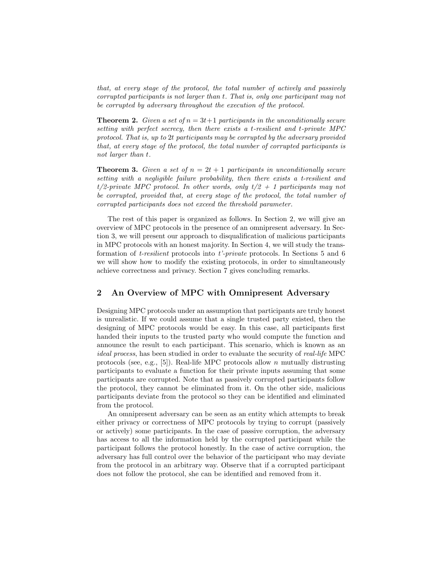that, at every stage of the protocol, the total number of actively and passively corrupted participants is not larger than t. That is, only one participant may not be corrupted by adversary throughout the execution of the protocol.

**Theorem 2.** Given a set of  $n = 3t+1$  participants in the unconditionally secure setting with perfect secrecy, then there exists a t-resilient and t-private MPC protocol. That is, up to 2t participants may be corrupted by the adversary provided that, at every stage of the protocol, the total number of corrupted participants is not larger than t.

**Theorem 3.** Given a set of  $n = 2t + 1$  participants in unconditionally secure setting with a negligible failure probability, then there exists a t-resilient and  $t/2$ -private MPC protocol. In other words, only  $t/2 + 1$  participants may not be corrupted, provided that, at every stage of the protocol, the total number of corrupted participants does not exceed the threshold parameter.

The rest of this paper is organized as follows. In Section 2, we will give an overview of MPC protocols in the presence of an omnipresent adversary. In Section 3, we will present our approach to disqualification of malicious participants in MPC protocols with an honest majority. In Section 4, we will study the transformation of t-resilient protocols into t'-private protocols. In Sections 5 and 6 we will show how to modify the existing protocols, in order to simultaneously achieve correctness and privacy. Section 7 gives concluding remarks.

# 2 An Overview of MPC with Omnipresent Adversary

Designing MPC protocols under an assumption that participants are truly honest is unrealistic. If we could assume that a single trusted party existed, then the designing of MPC protocols would be easy. In this case, all participants first handed their inputs to the trusted party who would compute the function and announce the result to each participant. This scenario, which is known as an ideal process, has been studied in order to evaluate the security of real-life MPC protocols (see, e.g., [5]). Real-life MPC protocols allow n mutually distrusting participants to evaluate a function for their private inputs assuming that some participants are corrupted. Note that as passively corrupted participants follow the protocol, they cannot be eliminated from it. On the other side, malicious participants deviate from the protocol so they can be identified and eliminated from the protocol.

An omnipresent adversary can be seen as an entity which attempts to break either privacy or correctness of MPC protocols by trying to corrupt (passively or actively) some participants. In the case of passive corruption, the adversary has access to all the information held by the corrupted participant while the participant follows the protocol honestly. In the case of active corruption, the adversary has full control over the behavior of the participant who may deviate from the protocol in an arbitrary way. Observe that if a corrupted participant does not follow the protocol, she can be identified and removed from it.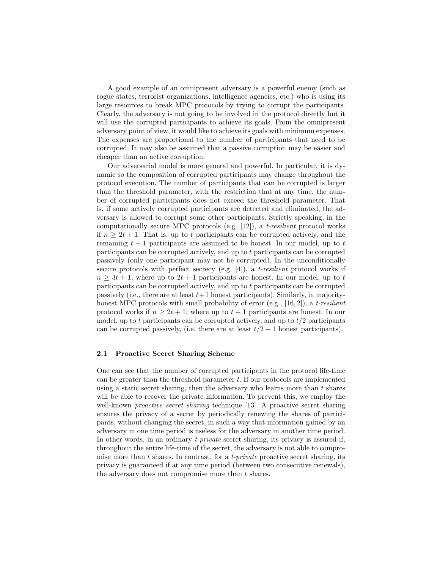A good example of an omnipresent adversary is a powerful enemy (such as rogue states, terrorist organizations, intelligence agencies, etc.) who is using its large resources to break MPC protocols by trying to corrupt the participants. Clearly, the adversary is not going to be involved in the protocol directly but it will use the corrupted participants to achieve its goals. From the omnipresent adversary point of view, it would like to achieve its goals with minimum expenses. The expenses are proportional to the number of participants that need to be corrupted. It may also be assumed that a passive corruption may be easier and cheaper than an active corruption.

Our adversarial model is more general and powerful. In particular, it is dynamic so the composition of corrupted participants may change throughout the protocol execution. The number of participants that can be corrupted is larger than the threshold parameter, with the restriction that at any time, the number of corrupted participants does not exceed the threshold parameter. That is, if some actively corrupted participants are detected and eliminated, the adversary is allowed to corrupt some other participants. Strictly speaking, in the computationally secure MPC protocols (e.g.  $[12]$ ), a t-resilient protocol works if  $n \geq 2t + 1$ . That is, up to t participants can be corrupted actively, and the remaining  $t + 1$  participants are assumed to be honest. In our model, up to t participants can be corrupted actively, and up to t participants can be corrupted passively (only one participant may not be corrupted). In the unconditionally secure protocols with perfect secrecy (e.g.  $[4]$ ), a *t-resilient* protocol works if  $n \geq 3t + 1$ , where up to  $2t + 1$  participants are honest. In our model, up to t participants can be corrupted actively, and up to t participants can be corrupted passively (i.e., there are at least  $t+1$  honest participants). Similarly, in majorityhonest MPC protocols with small probability of error (e.g.,  $[16, 2]$ ), a t-resilient protocol works if  $n \geq 2t + 1$ , where up to  $t + 1$  participants are honest. In our model, up to t participants can be corrupted actively, and up to  $t/2$  participants can be corrupted passively, (i.e. there are at least  $t/2 + 1$  honest participants).

#### 2.1 Proactive Secret Sharing Scheme

One can see that the number of corrupted participants in the protocol life-time can be greater than the threshold parameter  $t$ . If our protocols are implemented using a static secret sharing, then the adversary who learns more than  $t$  shares will be able to recover the private information. To prevent this, we employ the well-known proactive secret sharing technique [13]. A proactive secret sharing ensures the privacy of a secret by periodically renewing the shares of participants, without changing the secret, in such a way that information gained by an adversary in one time period is useless for the adversary in another time period. In other words, in an ordinary  $t$ -private secret sharing, its privacy is assured if, throughout the entire life-time of the secret, the adversary is not able to compromise more than t shares. In contrast, for a t-private proactive secret sharing, its privacy is guaranteed if at any time period (between two consecutive renewals), the adversary does not compromise more than  $t$  shares.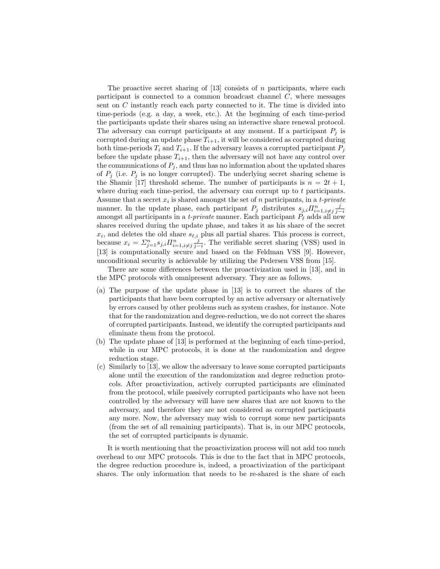The proactive secret sharing of  $[13]$  consists of n participants, where each participant is connected to a common broadcast channel  $C$ , where messages sent on C instantly reach each party connected to it. The time is divided into time-periods (e.g. a day, a week, etc.). At the beginning of each time-period the participants update their shares using an interactive share renewal protocol. The adversary can corrupt participants at any moment. If a participant  $P_i$  is corrupted during an update phase  $T_{i+1}$ , it will be considered as corrupted during both time-periods  $T_i$  and  $T_{i+1}$ . If the adversary leaves a corrupted participant  $P_i$ before the update phase  $T_{i+1}$ , then the adversary will not have any control over the communications of  $P_j$ , and thus has no information about the updated shares of  $P_j$  (i.e.  $P_j$  is no longer corrupted). The underlying secret sharing scheme is the Shamir [17] threshold scheme. The number of participants is  $n = 2t + 1$ , where during each time-period, the adversary can corrupt up to  $t$  participants. Assume that a secret  $x_i$  is shared amongst the set of n participants, in a t-private manner. In the update phase, each participant  $P_j$  distributes  $s_{j,i}\prod_{i=1,i\neq j}^n\frac{j}{j-i}$ amongst all participants in a *t-private* manner. Each participant  $P_\ell$  adds all new shares received during the update phase, and takes it as his share of the secret  $x_i$ , and deletes the old share  $s_{\ell,i}$  plus all partial shares. This process is correct, because  $x_i = \sum_{j=1}^n s_{j,i} \prod_{i=1, i \neq j}^n \frac{j}{j-i}$ . The verifiable secret sharing (VSS) used in [13] is computationally secure and based on the Feldman VSS [9]. However, unconditional security is achievable by utilizing the Pedersen VSS from [15].

There are some differences between the proactivization used in [13], and in the MPC protocols with omnipresent adversary. They are as follows.

- (a) The purpose of the update phase in [13] is to correct the shares of the participants that have been corrupted by an active adversary or alternatively by errors caused by other problems such as system crashes, for instance. Note that for the randomization and degree-reduction, we do not correct the shares of corrupted participants. Instead, we identify the corrupted participants and eliminate them from the protocol.
- (b) The update phase of [13] is performed at the beginning of each time-period, while in our MPC protocols, it is done at the randomization and degree reduction stage.
- (c) Similarly to [13], we allow the adversary to leave some corrupted participants alone until the execution of the randomization and degree reduction protocols. After proactivization, actively corrupted participants are eliminated from the protocol, while passively corrupted participants who have not been controlled by the adversary will have new shares that are not known to the adversary, and therefore they are not considered as corrupted participants any more. Now, the adversary may wish to corrupt some new participants (from the set of all remaining participants). That is, in our MPC protocols, the set of corrupted participants is dynamic.

It is worth mentioning that the proactivization process will not add too much overhead to our MPC protocols. This is due to the fact that in MPC protocols, the degree reduction procedure is, indeed, a proactivization of the participant shares. The only information that needs to be re-shared is the share of each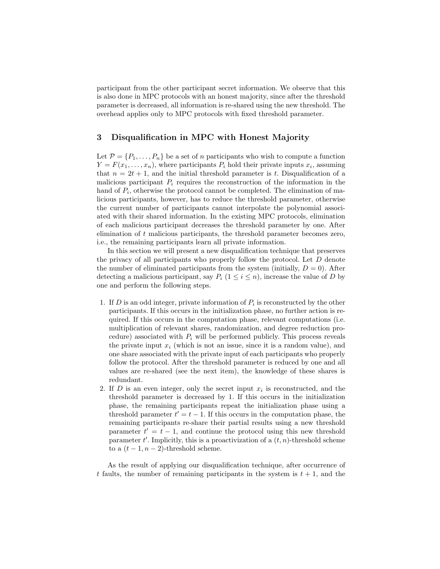participant from the other participant secret information. We observe that this is also done in MPC protocols with an honest majority, since after the threshold parameter is decreased, all information is re-shared using the new threshold. The overhead applies only to MPC protocols with fixed threshold parameter.

# 3 Disqualification in MPC with Honest Majority

Let  $\mathcal{P} = \{P_1, \ldots, P_n\}$  be a set of *n* participants who wish to compute a function  $Y = F(x_1, \ldots, x_n)$ , where participants  $P_i$  hold their private inputs  $x_i$ , assuming that  $n = 2t + 1$ , and the initial threshold parameter is t. Disqualification of a malicious participant  $P_i$  requires the reconstruction of the information in the hand of  $P_i$ , otherwise the protocol cannot be completed. The elimination of malicious participants, however, has to reduce the threshold parameter, otherwise the current number of participants cannot interpolate the polynomial associated with their shared information. In the existing MPC protocols, elimination of each malicious participant decreases the threshold parameter by one. After elimination of t malicious participants, the threshold parameter becomes zero, i.e., the remaining participants learn all private information.

In this section we will present a new disqualification technique that preserves the privacy of all participants who properly follow the protocol. Let D denote the number of eliminated participants from the system (initially,  $D = 0$ ). After detecting a malicious participant, say  $P_i$  ( $1 \leq i \leq n$ ), increase the value of D by one and perform the following steps.

- 1. If  $D$  is an odd integer, private information of  $P_i$  is reconstructed by the other participants. If this occurs in the initialization phase, no further action is required. If this occurs in the computation phase, relevant computations (i.e. multiplication of relevant shares, randomization, and degree reduction procedure) associated with  $P_i$  will be performed publicly. This process reveals the private input  $x_i$  (which is not an issue, since it is a random value), and one share associated with the private input of each participants who properly follow the protocol. After the threshold parameter is reduced by one and all values are re-shared (see the next item), the knowledge of these shares is redundant.
- 2. If  $D$  is an even integer, only the secret input  $x_i$  is reconstructed, and the threshold parameter is decreased by 1. If this occurs in the initialization phase, the remaining participants repeat the initialization phase using a threshold parameter  $t' = t - 1$ . If this occurs in the computation phase, the remaining participants re-share their partial results using a new threshold parameter  $t' = t - 1$ , and continue the protocol using this new threshold parameter  $t'$ . Implicitly, this is a proactivization of a  $(t, n)$ -threshold scheme to a  $(t-1, n-2)$ -threshold scheme.

As the result of applying our disqualification technique, after occurrence of t faults, the number of remaining participants in the system is  $t + 1$ , and the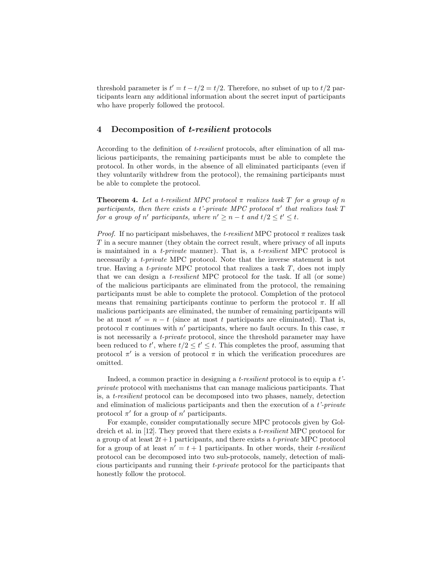threshold parameter is  $t' = t - t/2 = t/2$ . Therefore, no subset of up to  $t/2$  participants learn any additional information about the secret input of participants who have properly followed the protocol.

# 4 Decomposition of t-resilient protocols

According to the definition of t-resilient protocols, after elimination of all malicious participants, the remaining participants must be able to complete the protocol. In other words, in the absence of all eliminated participants (even if they voluntarily withdrew from the protocol), the remaining participants must be able to complete the protocol.

**Theorem 4.** Let a t-resilient MPC protocol  $\pi$  realizes task T for a group of n participants, then there exists a t'-private MPC protocol  $\pi'$  that realizes task T for a group of n' participants, where  $n' \geq n - t$  and  $t/2 \leq t' \leq t$ .

*Proof.* If no participant misbehaves, the t-resilient MPC protocol  $\pi$  realizes task T in a secure manner (they obtain the correct result, where privacy of all inputs is maintained in a t-private manner). That is, a t-resilient MPC protocol is necessarily a t-private MPC protocol. Note that the inverse statement is not true. Having a *t-private* MPC protocol that realizes a task  $T$ , does not imply that we can design a t-resilient MPC protocol for the task. If all (or some) of the malicious participants are eliminated from the protocol, the remaining participants must be able to complete the protocol. Completion of the protocol means that remaining participants continue to perform the protocol  $\pi$ . If all malicious participants are eliminated, the number of remaining participants will be at most  $n' = n - t$  (since at most t participants are eliminated). That is, protocol  $\pi$  continues with n' participants, where no fault occurs. In this case,  $\pi$ is not necessarily a t-private protocol, since the threshold parameter may have been reduced to t', where  $t/2 \leq t' \leq t$ . This completes the proof, assuming that protocol  $\pi'$  is a version of protocol  $\pi$  in which the verification procedures are omitted.

Indeed, a common practice in designing a  $t$ -resilient protocol is to equip a  $t'$ private protocol with mechanisms that can manage malicious participants. That is, a t-resilient protocol can be decomposed into two phases, namely, detection and elimination of malicious participants and then the execution of a  $t^2$ -private protocol  $\pi'$  for a group of  $n'$  participants.

For example, consider computationally secure MPC protocols given by Goldreich et al. in [12]. They proved that there exists a *t-resilient* MPC protocol for a group of at least  $2t+1$  participants, and there exists a t-private MPC protocol for a group of at least  $n' = t + 1$  participants. In other words, their *t-resilient* protocol can be decomposed into two sub-protocols, namely, detection of malicious participants and running their t-private protocol for the participants that honestly follow the protocol.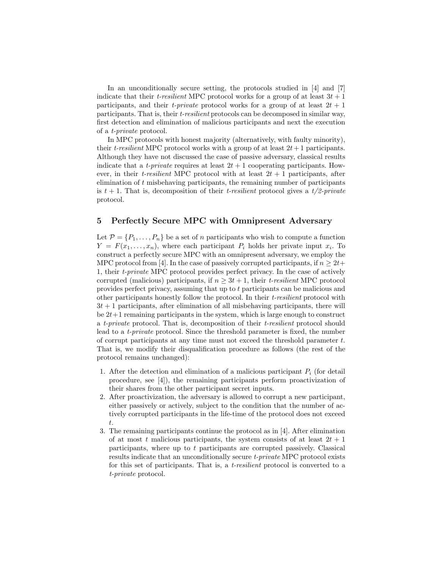In an unconditionally secure setting, the protocols studied in [4] and [7] indicate that their t-resilient MPC protocol works for a group of at least  $3t + 1$ participants, and their *t-private* protocol works for a group of at least  $2t + 1$ participants. That is, their *t-resilient* protocols can be decomposed in similar way, first detection and elimination of malicious participants and next the execution of a t-private protocol.

In MPC protocols with honest majority (alternatively, with faulty minority), their t-resilient MPC protocol works with a group of at least  $2t+1$  participants. Although they have not discussed the case of passive adversary, classical results indicate that a *t-private* requires at least  $2t + 1$  cooperating participants. However, in their *t-resilient* MPC protocol with at least  $2t + 1$  participants, after elimination of  $t$  misbehaving participants, the remaining number of participants is  $t + 1$ . That is, decomposition of their *t-resilient* protocol gives a  $t/2$ -private protocol.

# 5 Perfectly Secure MPC with Omnipresent Adversary

Let  $\mathcal{P} = \{P_1, \ldots, P_n\}$  be a set of *n* participants who wish to compute a function  $Y = F(x_1, \ldots, x_n)$ , where each participant  $P_i$  holds her private input  $x_i$ . To construct a perfectly secure MPC with an omnipresent adversary, we employ the MPC protocol from [4]. In the case of passively corrupted participants, if  $n \geq 2t+$ 1, their t-private MPC protocol provides perfect privacy. In the case of actively corrupted (malicious) participants, if  $n \geq 3t + 1$ , their t-resilient MPC protocol provides perfect privacy, assuming that up to t participants can be malicious and other participants honestly follow the protocol. In their t-resilient protocol with  $3t + 1$  participants, after elimination of all misbehaving participants, there will be  $2t+1$  remaining participants in the system, which is large enough to construct a t-private protocol. That is, decomposition of their t-resilient protocol should lead to a t-private protocol. Since the threshold parameter is fixed, the number of corrupt participants at any time must not exceed the threshold parameter  $t$ . That is, we modify their disqualification procedure as follows (the rest of the protocol remains unchanged):

- 1. After the detection and elimination of a malicious participant  $P_i$  (for detail procedure, see [4]), the remaining participants perform proactivization of their shares from the other participant secret inputs.
- 2. After proactivization, the adversary is allowed to corrupt a new participant, either passively or actively, subject to the condition that the number of actively corrupted participants in the life-time of the protocol does not exceed t.
- 3. The remaining participants continue the protocol as in [4]. After elimination of at most t malicious participants, the system consists of at least  $2t + 1$ participants, where up to t participants are corrupted passively. Classical results indicate that an unconditionally secure t-private MPC protocol exists for this set of participants. That is, a t-resilient protocol is converted to a t-private protocol.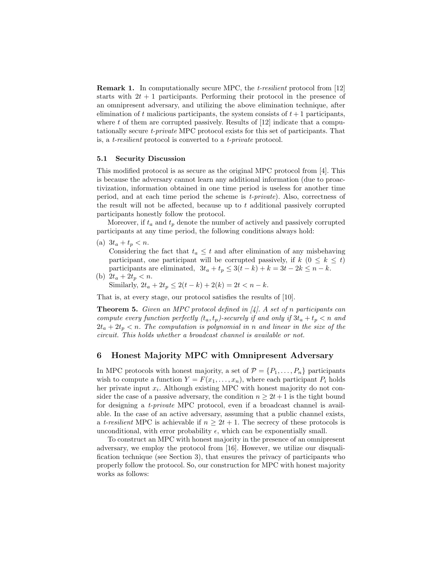**Remark 1.** In computationally secure MPC, the *t-resilient* protocol from [12] starts with  $2t + 1$  participants. Performing their protocol in the presence of an omnipresent adversary, and utilizing the above elimination technique, after elimination of t malicious participants, the system consists of  $t + 1$  participants, where  $t$  of them are corrupted passively. Results of  $[12]$  indicate that a computationally secure t-private MPC protocol exists for this set of participants. That is, a t-resilient protocol is converted to a t-private protocol.

#### 5.1 Security Discussion

This modified protocol is as secure as the original MPC protocol from [4]. This is because the adversary cannot learn any additional information (due to proactivization, information obtained in one time period is useless for another time period, and at each time period the scheme is t-private). Also, correctness of the result will not be affected, because up to  $t$  additional passively corrupted participants honestly follow the protocol.

Moreover, if  $t_a$  and  $t_p$  denote the number of actively and passively corrupted participants at any time period, the following conditions always hold:

(a)  $3t_a + t_p < n$ . Considering the fact that  $t_a \leq t$  and after elimination of any misbehaving participant, one participant will be corrupted passively, if  $k$  ( $0 \leq k \leq t$ ) participants are eliminated,  $3t_a + t_p \leq 3(t - k) + k = 3t - 2k \leq n - k$ .

(b)  $2t_a + 2t_p < n$ . Similarly,  $2t_a + 2t_p \leq 2(t - k) + 2(k) = 2t < n - k$ .

That is, at every stage, our protocol satisfies the results of [10].

**Theorem 5.** Given an MPC protocol defined in  $\mathcal{A}$ . A set of n participants can compute every function perfectly  $(t_a, t_p)$ -securely if and only if  $3t_a + t_p < n$  and  $2t_a + 2t_p < n$ . The computation is polynomial in n and linear in the size of the circuit. This holds whether a broadcast channel is available or not.

# 6 Honest Majority MPC with Omnipresent Adversary

In MPC protocols with honest majority, a set of  $\mathcal{P} = \{P_1, \ldots, P_n\}$  participants wish to compute a function  $Y = F(x_1, \ldots, x_n)$ , where each participant  $P_i$  holds her private input  $x_i$ . Although existing MPC with honest majority do not consider the case of a passive adversary, the condition  $n \geq 2t + 1$  is the tight bound for designing a t-private MPC protocol, even if a broadcast channel is available. In the case of an active adversary, assuming that a public channel exists, a *t-resilient* MPC is achievable if  $n \geq 2t + 1$ . The secrecy of these protocols is unconditional, with error probability  $\epsilon$ , which can be exponentially small.

To construct an MPC with honest majority in the presence of an omnipresent adversary, we employ the protocol from [16]. However, we utilize our disqualification technique (see Section 3), that ensures the privacy of participants who properly follow the protocol. So, our construction for MPC with honest majority works as follows: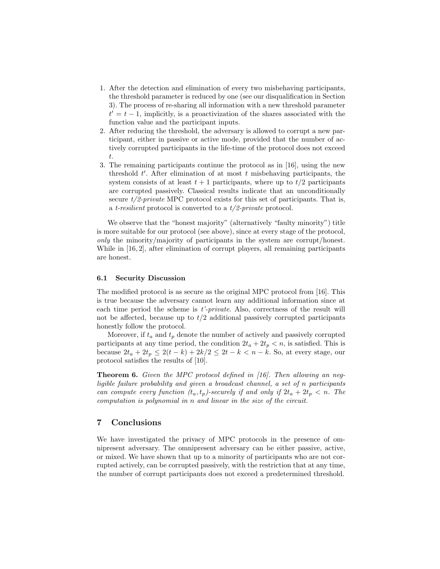- 1. After the detection and elimination of every two misbehaving participants, the threshold parameter is reduced by one (see our disqualification in Section 3). The process of re-sharing all information with a new threshold parameter  $t' = t - 1$ , implicitly, is a proactivization of the shares associated with the function value and the participant inputs.
- 2. After reducing the threshold, the adversary is allowed to corrupt a new participant, either in passive or active mode, provided that the number of actively corrupted participants in the life-time of the protocol does not exceed t.
- 3. The remaining participants continue the protocol as in [16], using the new threshold  $t'$ . After elimination of at most  $t$  misbehaving participants, the system consists of at least  $t + 1$  participants, where up to  $t/2$  participants are corrupted passively. Classical results indicate that an unconditionally secure  $t/2$ -private MPC protocol exists for this set of participants. That is, a t-resilient protocol is converted to a  $t/2$ -private protocol.

We observe that the "honest majority" (alternatively "faulty minority") title is more suitable for our protocol (see above), since at every stage of the protocol, only the minority/majority of participants in the system are corrupt/honest. While in [16, 2], after elimination of corrupt players, all remaining participants are honest.

#### 6.1 Security Discussion

The modified protocol is as secure as the original MPC protocol from [16]. This is true because the adversary cannot learn any additional information since at each time period the scheme is  $t^2$ -private. Also, correctness of the result will not be affected, because up to  $t/2$  additional passively corrupted participants honestly follow the protocol.

Moreover, if  $t_a$  and  $t_p$  denote the number of actively and passively corrupted participants at any time period, the condition  $2t_a + 2t_p < n$ , is satisfied. This is because  $2t_a + 2t_p \leq 2(t - k) + 2k/2 \leq 2t - k < n - k$ . So, at every stage, our protocol satisfies the results of [10].

**Theorem 6.** Given the MPC protocol defined in [16]. Then allowing an negligible failure probability and given a broadcast channel, a set of n participants can compute every function  $(t_a, t_p)$ -securely if and only if  $2t_a + 2t_p < n$ . The computation is polynomial in n and linear in the size of the circuit.

# 7 Conclusions

We have investigated the privacy of MPC protocols in the presence of omnipresent adversary. The omnipresent adversary can be either passive, active, or mixed. We have shown that up to a minority of participants who are not corrupted actively, can be corrupted passively, with the restriction that at any time, the number of corrupt participants does not exceed a predetermined threshold.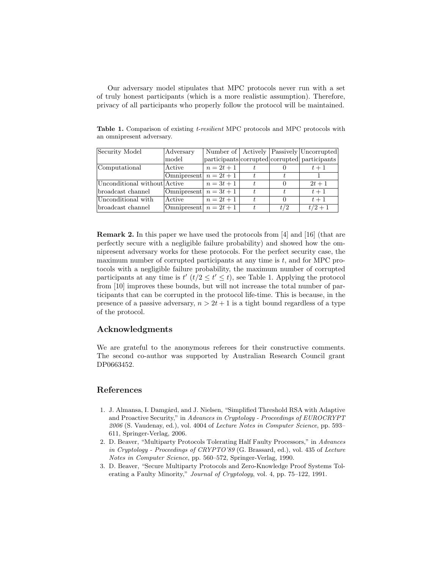Our adversary model stipulates that MPC protocols never run with a set of truly honest participants (which is a more realistic assumption). Therefore, privacy of all participants who properly follow the protocol will be maintained.

| Security Model               | Adversary                |              |     | Number of   Actively   Passively   Uncorrupted |
|------------------------------|--------------------------|--------------|-----|------------------------------------------------|
|                              | model                    |              |     | participants corrupted corrupted  participants |
| Computational                | Active                   | $n = 2t + 1$ |     | $t+1$                                          |
|                              | Omnipresent $n = 2t + 1$ |              |     |                                                |
| Unconditional without Active |                          | $n = 3t + 1$ |     | $2t+1$                                         |
| broadcast channel            | Omnipresent $n = 3t + 1$ |              |     | $t+1$                                          |
| Unconditional with           | Active                   | $n = 2t + 1$ |     | $t+1$                                          |
| broadcast channel            | Omnipresent $n = 2t + 1$ |              | t/2 | $t/2 + 1$                                      |

Table 1. Comparison of existing *t-resilient* MPC protocols and MPC protocols with an omnipresent adversary.

Remark 2. In this paper we have used the protocols from [4] and [16] (that are perfectly secure with a negligible failure probability) and showed how the omnipresent adversary works for these protocols. For the perfect security case, the maximum number of corrupted participants at any time is  $t$ , and for MPC protocols with a negligible failure probability, the maximum number of corrupted participants at any time is  $t'$   $(t/2 \leq t' \leq t)$ , see Table 1. Applying the protocol from [10] improves these bounds, but will not increase the total number of participants that can be corrupted in the protocol life-time. This is because, in the presence of a passive adversary,  $n > 2t + 1$  is a tight bound regardless of a type of the protocol.

#### Acknowledgments

We are grateful to the anonymous referees for their constructive comments. The second co-author was supported by Australian Research Council grant DP0663452.

# References

- 1. J. Almansa, I. Damgård, and J. Nielsen, "Simplified Threshold RSA with Adaptive and Proactive Security," in Advances in Cryptology - Proceedings of EUROCRYPT 2006 (S. Vaudenay, ed.), vol. 4004 of Lecture Notes in Computer Science, pp. 593– 611, Springer-Verlag, 2006.
- 2. D. Beaver, "Multiparty Protocols Tolerating Half Faulty Processors," in Advances in Cryptology - Proceedings of CRYPTO'89 (G. Brassard, ed.), vol. 435 of Lecture Notes in Computer Science, pp. 560–572, Springer-Verlag, 1990.
- 3. D. Beaver, "Secure Multiparty Protocols and Zero-Knowledge Proof Systems Tolerating a Faulty Minority," Journal of Cryptology, vol. 4, pp. 75–122, 1991.